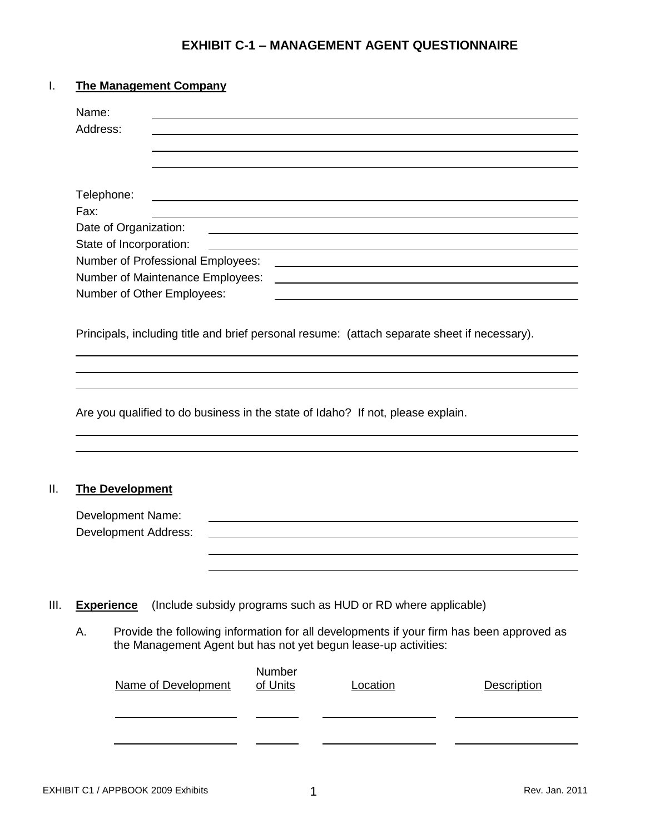# **EXHIBIT C-1 – MANAGEMENT AGENT QUESTIONNAIRE**

## I. **The Management Company**

|      | Address:                                                                                     |          |                                                                 |                                                                                          |
|------|----------------------------------------------------------------------------------------------|----------|-----------------------------------------------------------------|------------------------------------------------------------------------------------------|
|      |                                                                                              |          |                                                                 |                                                                                          |
|      |                                                                                              |          |                                                                 |                                                                                          |
|      |                                                                                              |          |                                                                 |                                                                                          |
|      | Telephone:                                                                                   |          |                                                                 |                                                                                          |
| Fax: |                                                                                              |          |                                                                 |                                                                                          |
|      | Date of Organization:                                                                        |          |                                                                 |                                                                                          |
|      | State of Incorporation:                                                                      |          |                                                                 |                                                                                          |
|      | Number of Professional Employees:                                                            |          |                                                                 |                                                                                          |
|      | Number of Maintenance Employees:                                                             |          |                                                                 |                                                                                          |
|      | Number of Other Employees:                                                                   |          |                                                                 |                                                                                          |
|      |                                                                                              |          |                                                                 |                                                                                          |
|      | Principals, including title and brief personal resume: (attach separate sheet if necessary). |          |                                                                 |                                                                                          |
|      |                                                                                              |          |                                                                 |                                                                                          |
|      |                                                                                              |          |                                                                 |                                                                                          |
|      |                                                                                              |          |                                                                 |                                                                                          |
|      |                                                                                              |          |                                                                 |                                                                                          |
|      |                                                                                              |          |                                                                 |                                                                                          |
|      |                                                                                              |          |                                                                 |                                                                                          |
|      |                                                                                              |          |                                                                 |                                                                                          |
|      | Are you qualified to do business in the state of Idaho? If not, please explain.              |          |                                                                 |                                                                                          |
|      |                                                                                              |          |                                                                 |                                                                                          |
|      |                                                                                              |          |                                                                 |                                                                                          |
|      |                                                                                              |          |                                                                 |                                                                                          |
|      |                                                                                              |          |                                                                 |                                                                                          |
|      |                                                                                              |          |                                                                 |                                                                                          |
|      | <b>The Development</b>                                                                       |          |                                                                 |                                                                                          |
|      | <b>Development Name:</b>                                                                     |          |                                                                 |                                                                                          |
|      |                                                                                              |          |                                                                 |                                                                                          |
|      | <b>Development Address:</b>                                                                  |          |                                                                 |                                                                                          |
|      |                                                                                              |          |                                                                 |                                                                                          |
|      |                                                                                              |          |                                                                 |                                                                                          |
|      |                                                                                              |          |                                                                 |                                                                                          |
|      |                                                                                              |          |                                                                 |                                                                                          |
|      | <b>Experience</b>                                                                            |          | (Include subsidy programs such as HUD or RD where applicable)   |                                                                                          |
|      |                                                                                              |          |                                                                 |                                                                                          |
|      |                                                                                              |          |                                                                 |                                                                                          |
|      |                                                                                              |          | the Management Agent but has not yet begun lease-up activities: | Provide the following information for all developments if your firm has been approved as |
|      |                                                                                              |          |                                                                 |                                                                                          |
| А.   |                                                                                              | Number   |                                                                 |                                                                                          |
|      | <b>Name of Development</b>                                                                   | of Units | Location                                                        | <b>Description</b>                                                                       |
|      |                                                                                              |          |                                                                 |                                                                                          |
|      |                                                                                              |          |                                                                 |                                                                                          |
|      |                                                                                              |          |                                                                 |                                                                                          |